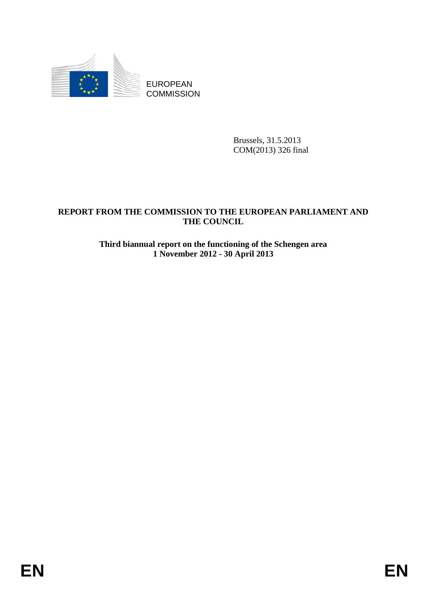

EUROPEAN **COMMISSION** 

> Brussels, 31.5.2013 COM(2013) 326 final

# **REPORT FROM THE COMMISSION TO THE EUROPEAN PARLIAMENT AND THE COUNCIL**

### **Third biannual report on the functioning of the Schengen area 1 November 2012 - 30 April 2013**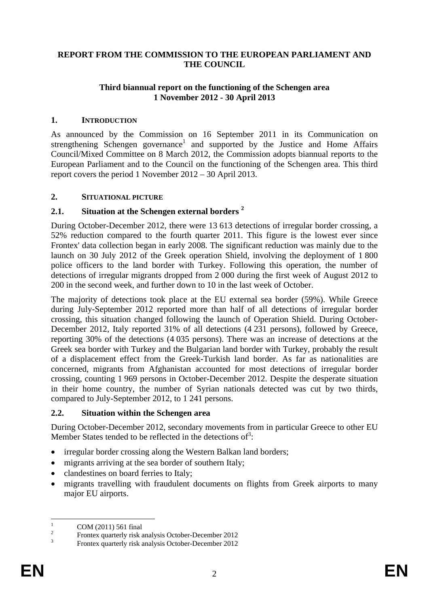#### **REPORT FROM THE COMMISSION TO THE EUROPEAN PARLIAMENT AND THE COUNCIL**

### **Third biannual report on the functioning of the Schengen area 1 November 2012 - 30 April 2013**

### **1. INTRODUCTION**

As announced by the Commission on 16 September 2011 in its Communication on strengthening Schengen governance<sup>1</sup> and supported by the Justice and Home Affairs Council/Mixed Committee on 8 March 2012, the Commission adopts biannual reports to the European Parliament and to the Council on the functioning of the Schengen area. This third report covers the period 1 November 2012 – 30 April 2013.

#### **2. SITUATIONAL PICTURE**

### **2.1. Situation at the Schengen external borders <sup>2</sup>**

During October-December 2012, there were 13 613 detections of irregular border crossing, a 52% reduction compared to the fourth quarter 2011. This figure is the lowest ever since Frontex' data collection began in early 2008. The significant reduction was mainly due to the launch on 30 July 2012 of the Greek operation Shield, involving the deployment of 1 800 police officers to the land border with Turkey. Following this operation, the number of detections of irregular migrants dropped from 2 000 during the first week of August 2012 to 200 in the second week, and further down to 10 in the last week of October.

The majority of detections took place at the EU external sea border (59%). While Greece during July-September 2012 reported more than half of all detections of irregular border crossing, this situation changed following the launch of Operation Shield. During October-December 2012, Italy reported 31% of all detections (4 231 persons), followed by Greece, reporting 30% of the detections (4 035 persons). There was an increase of detections at the Greek sea border with Turkey and the Bulgarian land border with Turkey, probably the result of a displacement effect from the Greek-Turkish land border. As far as nationalities are concerned, migrants from Afghanistan accounted for most detections of irregular border crossing, counting 1 969 persons in October-December 2012. Despite the desperate situation in their home country, the number of Syrian nationals detected was cut by two thirds, compared to July-September 2012, to 1 241 persons.

#### **2.2. Situation within the Schengen area**

During October-December 2012, secondary movements from in particular Greece to other EU Member States tended to be reflected in the detections of<sup>3</sup>:

- irregular border crossing along the Western Balkan land borders;
- migrants arriving at the sea border of southern Italy;
- clandestines on board ferries to Italy;
- migrants travelling with fraudulent documents on flights from Greek airports to many major EU airports.

 $\frac{1}{1}$ COM (2011) 561 final

 $\overline{2}$ Frontex quarterly risk analysis October-December 2012

<sup>3</sup> Frontex quarterly risk analysis October-December 2012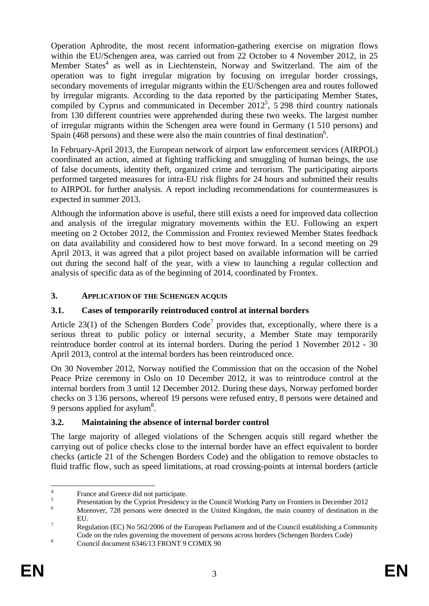Operation Aphrodite, the most recent information-gathering exercise on migration flows within the EU/Schengen area, was carried out from 22 October to 4 November 2012, in 25 Member States<sup>4</sup> as well as in Liechtenstein, Norway and Switzerland. The aim of the operation was to fight irregular migration by focusing on irregular border crossings, secondary movements of irregular migrants within the EU/Schengen area and routes followed by irregular migrants. According to the data reported by the participating Member States, compiled by Cyprus and communicated in December  $2012^5$ ,  $\overline{5}$  298 third country nationals from 130 different countries were apprehended during these two weeks. The largest number of irregular migrants within the Schengen area were found in Germany (1 510 persons) and Spain  $(468)$  persons) and these were also the main countries of final destination<sup>6</sup>.

In February-April 2013, the European network of airport law enforcement services (AIRPOL) coordinated an action, aimed at fighting trafficking and smuggling of human beings, the use of false documents, identity theft, organized crime and terrorism. The participating airports performed targeted measures for intra-EU risk flights for 24 hours and submitted their results to AIRPOL for further analysis. A report including recommendations for countermeasures is expected in summer 2013.

Although the information above is useful, there still exists a need for improved data collection and analysis of the irregular migratory movements within the EU. Following an expert meeting on 2 October 2012, the Commission and Frontex reviewed Member States feedback on data availability and considered how to best move forward. In a second meeting on 29 April 2013, it was agreed that a pilot project based on available information will be carried out during the second half of the year, with a view to launching a regular collection and analysis of specific data as of the beginning of 2014, coordinated by Frontex.

# **3. APPLICATION OF THE SCHENGEN ACQUIS**

# **3.1. Cases of temporarily reintroduced control at internal borders**

Article 23(1) of the Schengen Borders Code<sup>7</sup> provides that, exceptionally, where there is a serious threat to public policy or internal security, a Member State may temporarily reintroduce border control at its internal borders. During the period 1 November 2012 - 30 April 2013, control at the internal borders has been reintroduced once.

On 30 November 2012, Norway notified the Commission that on the occasion of the Nobel Peace Prize ceremony in Oslo on 10 December 2012, it was to reintroduce control at the internal borders from 3 until 12 December 2012. During these days, Norway perfomed border checks on 3 136 persons, whereof 19 persons were refused entry, 8 persons were detained and 9 persons applied for asylum<sup>8</sup>.

# **3.2. Maintaining the absence of internal border control**

The large majority of alleged violations of the Schengen acquis still regard whether the carrying out of police checks close to the internal border have an effect equivalent to border checks (article 21 of the Schengen Borders Code) and the obligation to remove obstacles to fluid traffic flow, such as speed limitations, at road crossing-points at internal borders (article

 $\frac{1}{4}$ France and Greece did not participate.

<sup>5</sup> Presentation by the Cypriot Presidency in the Council Working Party on Frontiers in December 2012

Moreover, 728 persons were detected in the United Kingdom, the main country of destination in the  $E$ U.

Regulation (EC) No 562/2006 of the European Parliament and of the Council establishing a Community Code on the rules governing the movement of persons across borders (Schengen Borders Code)

Council document 6346/13 FRONT 9 COMIX 90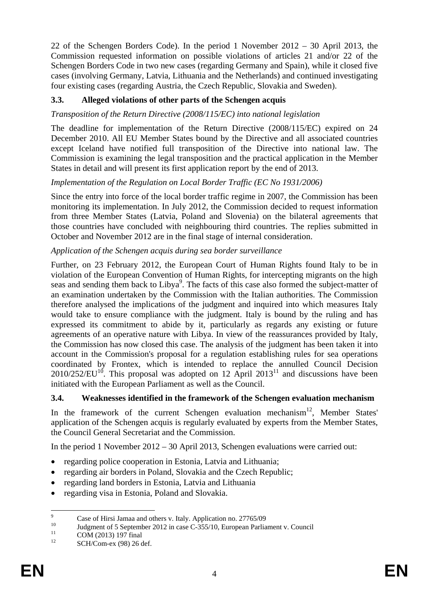22 of the Schengen Borders Code). In the period 1 November 2012 – 30 April 2013, the Commission requested information on possible violations of articles 21 and/or 22 of the Schengen Borders Code in two new cases (regarding Germany and Spain), while it closed five cases (involving Germany, Latvia, Lithuania and the Netherlands) and continued investigating four existing cases (regarding Austria, the Czech Republic, Slovakia and Sweden).

# **3.3. Alleged violations of other parts of the Schengen acquis**

# *Transposition of the Return Directive (2008/115/EC) into national legislation*

The deadline for implementation of the Return Directive (2008/115/EC) expired on 24 December 2010. All EU Member States bound by the Directive and all associated countries except Iceland have notified full transposition of the Directive into national law. The Commission is examining the legal transposition and the practical application in the Member States in detail and will present its first application report by the end of 2013.

# *Implementation of the Regulation on Local Border Traffic (EC No 1931/2006)*

Since the entry into force of the local border traffic regime in 2007, the Commission has been monitoring its implementation. In July 2012, the Commission decided to request information from three Member States (Latvia, Poland and Slovenia) on the bilateral agreements that those countries have concluded with neighbouring third countries. The replies submitted in October and November 2012 are in the final stage of internal consideration.

# *Application of the Schengen acquis during sea border surveillance*

Further, on 23 February 2012, the European Court of Human Rights found Italy to be in violation of the European Convention of Human Rights, for intercepting migrants on the high seas and sending them back to Libya<sup>9</sup>. The facts of this case also formed the subject-matter of an examination undertaken by the Commission with the Italian authorities. The Commission therefore analysed the implications of the judgment and inquired into which measures Italy would take to ensure compliance with the judgment. Italy is bound by the ruling and has expressed its commitment to abide by it, particularly as regards any existing or future agreements of an operative nature with Libya. In view of the reassurances provided by Italy, the Commission has now closed this case. The analysis of the judgment has been taken it into account in the Commission's proposal for a regulation establishing rules for sea operations coordinated by Frontex, which is intended to replace the annulled Council Decision  $2010/252/EU<sup>10</sup>$ . This proposal was adopted on 12 April 2013<sup>11</sup> and discussions have been initiated with the European Parliament as well as the Council.

# **3.4. Weaknesses identified in the framework of the Schengen evaluation mechanism**

In the framework of the current Schengen evaluation mechanism<sup>12</sup>, Member States' application of the Schengen acquis is regularly evaluated by experts from the Member States, the Council General Secretariat and the Commission.

In the period 1 November 2012 – 30 April 2013, Schengen evaluations were carried out:

- regarding police cooperation in Estonia, Latvia and Lithuania;
- regarding air borders in Poland, Slovakia and the Czech Republic;
- regarding land borders in Estonia, Latvia and Lithuania
- regarding visa in Estonia, Poland and Slovakia.

<sup>-&</sup>lt;br>9 <sup>9</sup> Case of Hirsi Jamaa and others v. Italy. Application no. 27765/09

<sup>&</sup>lt;sup>10</sup> Judgment of 5 September 2012 in case C-355/10, European Parliament v. Council

 $^{11}$  COM (2013) 197 final<br> $^{12}$  SCU/Com av (08) 26.6

SCH/Com-ex (98) 26 def.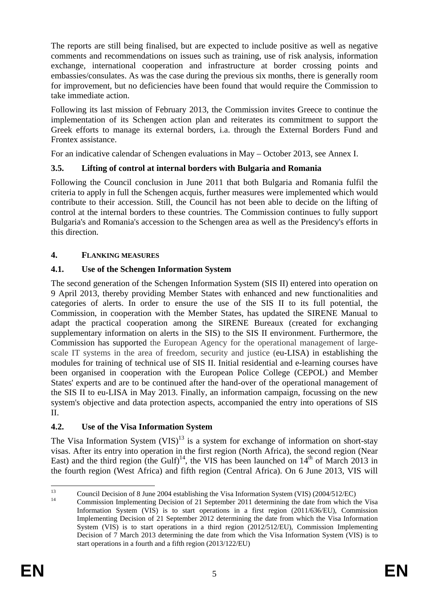The reports are still being finalised, but are expected to include positive as well as negative comments and recommendations on issues such as training, use of risk analysis, information exchange, international cooperation and infrastructure at border crossing points and embassies/consulates. As was the case during the previous six months, there is generally room for improvement, but no deficiencies have been found that would require the Commission to take immediate action.

Following its last mission of February 2013, the Commission invites Greece to continue the implementation of its Schengen action plan and reiterates its commitment to support the Greek efforts to manage its external borders, i.a. through the External Borders Fund and Frontex assistance.

For an indicative calendar of Schengen evaluations in May – October 2013, see Annex I.

# **3.5. Lifting of control at internal borders with Bulgaria and Romania**

Following the Council conclusion in June 2011 that both Bulgaria and Romania fulfil the criteria to apply in full the Schengen acquis, further measures were implemented which would contribute to their accession. Still, the Council has not been able to decide on the lifting of control at the internal borders to these countries. The Commission continues to fully support Bulgaria's and Romania's accession to the Schengen area as well as the Presidency's efforts in this direction.

# **4. FLANKING MEASURES**

# **4.1. Use of the Schengen Information System**

The second generation of the Schengen Information System (SIS II) entered into operation on 9 April 2013, thereby providing Member States with enhanced and new functionalities and categories of alerts. In order to ensure the use of the SIS II to its full potential, the Commission, in cooperation with the Member States, has updated the SIRENE Manual to adapt the practical cooperation among the SIRENE Bureaux (created for exchanging supplementary information on alerts in the SIS) to the SIS II environment. Furthermore, the Commission has supported the European Agency for the operational management of largescale IT systems in the area of freedom, security and justice (eu-LISA) in establishing the modules for training of technical use of SIS II. Initial residential and e-learning courses have been organised in cooperation with the European Police College (CEPOL) and Member States' experts and are to be continued after the hand-over of the operational management of the SIS II to eu-LISA in May 2013. Finally, an information campaign, focussing on the new system's objective and data protection aspects, accompanied the entry into operations of SIS II.

# **4.2. Use of the Visa Information System**

The Visa Information System  $(VIS)^{13}$  is a system for exchange of information on short-stay visas. After its entry into operation in the first region (North Africa), the second region (Near East) and the third region (the Gulf)<sup>14</sup>, the VIS has been launched on  $14<sup>th</sup>$  of March 2013 in the fourth region (West Africa) and fifth region (Central Africa). On 6 June 2013, VIS will

 $13$ <sup>13</sup> Council Decision of 8 June 2004 establishing the Visa Information System (VIS)  $(2004/512/EC)$ 

<sup>14</sup> Commission Implementing Decision of 21 September 2011 determining the date from which the Visa Information System (VIS) is to start operations in a first region (2011/636/EU), Commission Implementing Decision of 21 September 2012 determining the date from which the Visa Information System (VIS) is to start operations in a third region (2012/512/EU), Commission Implementing Decision of 7 March 2013 determining the date from which the Visa Information System (VIS) is to start operations in a fourth and a fifth region (2013/122/EU)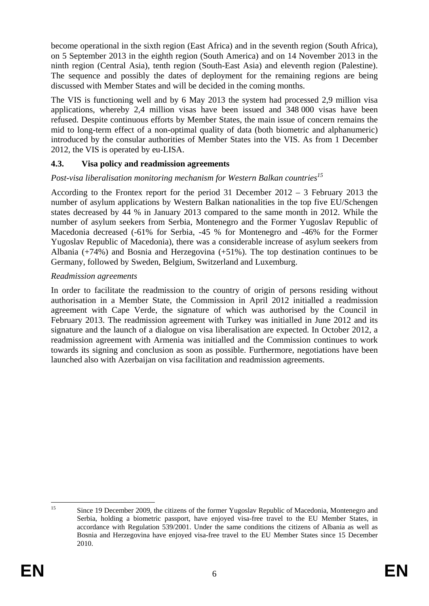become operational in the sixth region (East Africa) and in the seventh region (South Africa), on 5 September 2013 in the eighth region (South America) and on 14 November 2013 in the ninth region (Central Asia), tenth region (South-East Asia) and eleventh region (Palestine). The sequence and possibly the dates of deployment for the remaining regions are being discussed with Member States and will be decided in the coming months.

The VIS is functioning well and by 6 May 2013 the system had processed 2,9 million visa applications, whereby 2,4 million visas have been issued and 348 000 visas have been refused. Despite continuous efforts by Member States, the main issue of concern remains the mid to long-term effect of a non-optimal quality of data (both biometric and alphanumeric) introduced by the consular authorities of Member States into the VIS. As from 1 December 2012, the VIS is operated by eu-LISA.

### **4.3. Visa policy and readmission agreements**

# *Post-visa liberalisation monitoring mechanism for Western Balkan countries*<sup>15</sup>

According to the Frontex report for the period 31 December 2012 – 3 February 2013 the number of asylum applications by Western Balkan nationalities in the top five EU/Schengen states decreased by 44 % in January 2013 compared to the same month in 2012. While the number of asylum seekers from Serbia, Montenegro and the Former Yugoslav Republic of Macedonia decreased (-61% for Serbia, -45 % for Montenegro and -46% for the Former Yugoslav Republic of Macedonia), there was a considerable increase of asylum seekers from Albania (+74%) and Bosnia and Herzegovina (+51%). The top destination continues to be Germany, followed by Sweden, Belgium, Switzerland and Luxemburg.

#### *Readmission agreements*

In order to facilitate the readmission to the country of origin of persons residing without authorisation in a Member State, the Commission in April 2012 initialled a readmission agreement with Cape Verde, the signature of which was authorised by the Council in February 2013. The readmission agreement with Turkey was initialled in June 2012 and its signature and the launch of a dialogue on visa liberalisation are expected. In October 2012, a readmission agreement with Armenia was initialled and the Commission continues to work towards its signing and conclusion as soon as possible. Furthermore, negotiations have been launched also with Azerbaijan on visa facilitation and readmission agreements.

 $15$ 15 Since 19 December 2009, the citizens of the former Yugoslav Republic of Macedonia, Montenegro and Serbia, holding a biometric passport, have enjoyed visa-free travel to the EU Member States, in accordance with Regulation 539/2001. Under the same conditions the citizens of Albania as well as Bosnia and Herzegovina have enjoyed visa-free travel to the EU Member States since 15 December 2010.